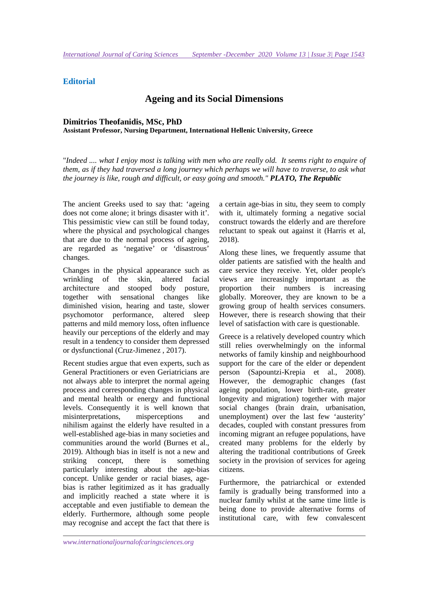## **Editorial**

# **Ageing and its Social Dimensions**

### **Dimitrios Theofanidis, MSc, PhD Assistant Professor, Nursing Department, International Hellenic University, Greece**

"*Indeed .... what I enjoy most is talking with men who are really old. It seems right to enquire of them, as if they had traversed a long journey which perhaps we will have to traverse, to ask what the journey is like, rough and difficult, or easy going and smooth." PLATO, The Republic*

The ancient Greeks used to say that: 'ageing does not come alone; it brings disaster with it'. This pessimistic view can still be found today, where the physical and psychological changes that are due to the normal process of ageing, are regarded as 'negative' or 'disastrous' changes.

Changes in the physical appearance such as wrinkling of the skin, altered facial architecture and stooped body posture, together with sensational changes like diminished vision, hearing and taste, slower psychomotor performance, altered sleep patterns and mild memory loss, often influence heavily our perceptions of the elderly and may result in a tendency to consider them depressed or dysfunctional (Cruz-Jimenez , 2017).

Recent studies argue that even experts, such as General Practitioners or even Geriatricians are not always able to interpret the normal ageing process and corresponding changes in physical and mental health or energy and functional levels. Consequently it is well known that misinterpretations, misperceptions and nihilism against the elderly have resulted in a well-established age-bias in many societies and communities around the world (Burnes et al., 2019). Although bias in itself is not a new and striking concept, there is something particularly interesting about the age-bias concept. Unlike gender or racial biases, agebias is rather legitimized as it has gradually and implicitly reached a state where it is acceptable and even justifiable to demean the elderly. Furthermore, although some people may recognise and accept the fact that there is a certain age-bias in situ, they seem to comply with it, ultimately forming a negative social construct towards the elderly and are therefore reluctant to speak out against it (Harris et al, 2018).

Along these lines, we frequently assume that older patients are satisfied with the health and care service they receive. Yet, older people's views are increasingly important as the proportion their numbers is increasing globally. Moreover, they are known to be a growing group of health services consumers. However, there is research showing that their level of satisfaction with care is questionable.

Greece is a relatively developed country which still relies overwhelmingly on the informal networks of family kinship and neighbourhood support for the care of the elder or dependent person (Sapountzi-Krepia et al., 2008). However, the demographic changes (fast ageing population, lower birth-rate, greater longevity and migration) together with major social changes (brain drain, urbanisation, unemployment) over the last few 'austerity' decades, coupled with constant pressures from incoming migrant an refugee populations, have created many problems for the elderly by altering the traditional contributions of Greek society in the provision of services for ageing citizens.

Furthermore, the patriarchical or extended family is gradually being transformed into a nuclear family whilst at the same time little is being done to provide alternative forms of institutional care, with few convalescent